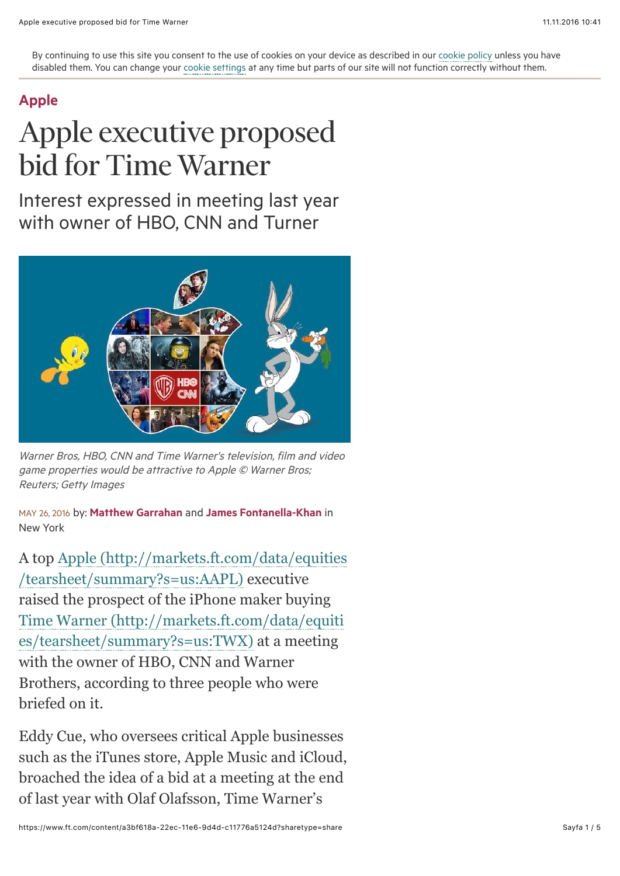By continuing to use this site you consent to the use of cookies on your device as described in our [cookie policy](http://help.ft.com/tools-services/how-the-ft-manages-cookies-on-its-websites/) unless you have disabled them. You can change your [cookie settings](http://help.ft.com/help/legal-privacy/cookies/how-to-manage-cookies/) at any time but parts of our site will not function correctly without them.

## [Apple](https://www.ft.com/topics/organisations/Apple_Inc)

## Apple executive proposed bid for Time Warner

Interest expressed in meeting last year with owner of HBO, CNN and Turner



Warner Bros, HBO, CNN and Time Warner's television, film and video game properties would be attractive to Apple © Warner Bros; Reuters; Getty Images

MAY 26, 2016 by: [Matthew Garrahan](https://www.ft.com/stream/authorsId/Q0ItMDAwMTMzNQ==-QXV0aG9ycw==) and [James Fontanella-Khan](https://www.ft.com/stream/authorsId/Q0ItMDAwMDc1MA==-QXV0aG9ycw==) in New York

[A top Apple \(http://markets.ft.com/data/equities](http://markets.ft.com/data/equities/tearsheet/summary?s=us:AAPL) /tearsheet/summary?s=us:AAPL) executive raised the prospect of the iPhone maker buying [Time Warner \(http://markets.ft.com/data/equiti](http://markets.ft.com/data/equities/tearsheet/summary?s=us:TWX) es/tearsheet/summary?s=us:TWX) at a meeting with the owner of HBO, CNN and Warner Brothers, according to three people who were briefed on it.

Eddy Cue, who oversees critical Apple businesses such as the iTunes store, Apple Music and iCloud, broached the idea of a bid at a meeting at the end of last year with Olaf Olafsson, Time Warner's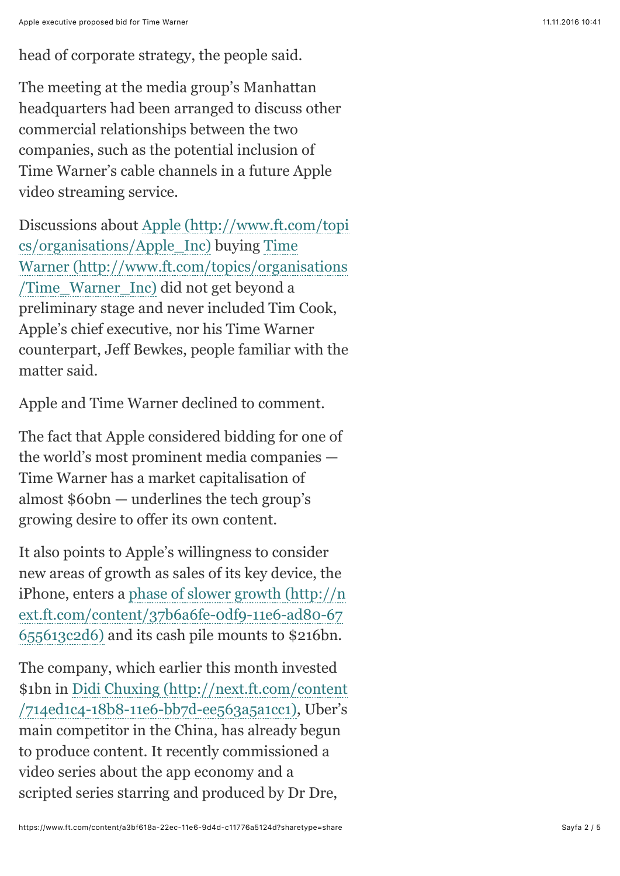The meeting at the media group's Manhattan headquarters had been arranged to discuss other commercial relationships between the two companies, such as the potential inclusion of Time Warner's cable channels in a future Apple video streaming service.

[Discussions about Apple \(http://www.ft.com/topi](http://www.ft.com/topics/organisations/Apple_Inc) cs/organisations/Apple\_Inc) buying Time [Warner \(http://www.ft.com/topics/organisations](http://www.ft.com/topics/organisations/Time_Warner_Inc) /Time\_Warner\_Inc) did not get beyond a preliminary stage and never included Tim Cook, Apple's chief executive, nor his Time Warner counterpart, Jeff Bewkes, people familiar with the matter said.

Apple and Time Warner declined to comment.

The fact that Apple considered bidding for one of the world's most prominent media companies — Time Warner has a market capitalisation of almost \$60bn — underlines the tech group's growing desire to offer its own content.

It also points to Apple's willingness to consider new areas of growth as sales of its key device, the [iPhone, enters a phase of slower growth \(http://n](https://www.ft.com/content/37b6a6fe-0df9-11e6-ad80-67655613c2d6) ext.ft.com/content/37b6a6fe-0df9-11e6-ad80-67 655613c2d6) and its cash pile mounts to \$216bn.

The company, which earlier this month invested [\\$1bn in Didi Chuxing \(http://next.ft.com/content](https://www.ft.com/content/714ed1c4-18b8-11e6-bb7d-ee563a5a1cc1) /714ed1c4-18b8-11e6-bb7d-ee563a5a1cc1), Uber's main competitor in the China, has already begun to produce content. It recently commissioned a video series about the app economy and a scripted series starring and produced by Dr Dre,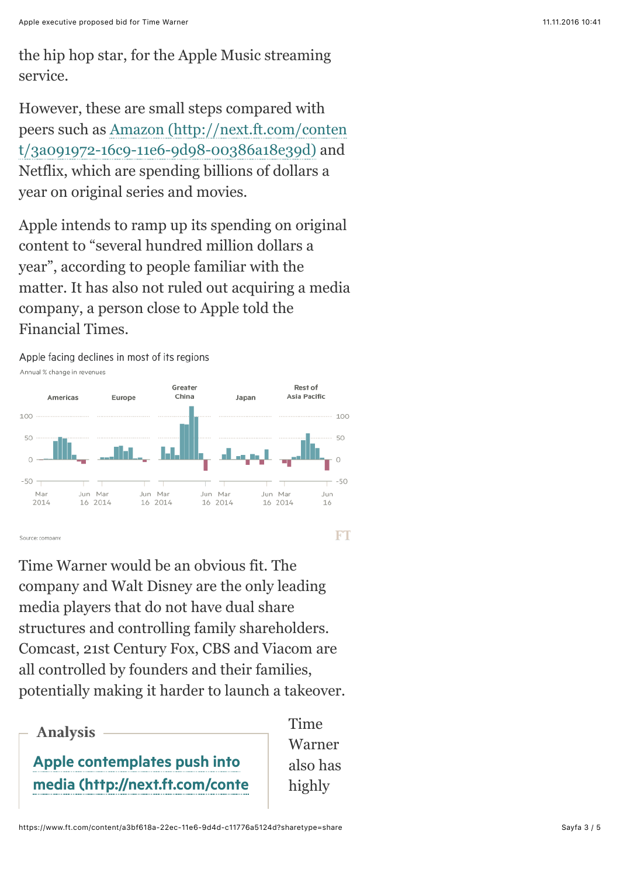However, these are small steps compared with [peers such as Amazon \(http://next.ft.com/conten](https://www.ft.com/content/3a091972-16c9-11e6-9d98-00386a18e39d) t/3a091972-16c9-11e6-9d98-00386a18e39d) and Netflix, which are spending billions of dollars a year on original series and movies.

Apple intends to ramp up its spending on original content to "several hundred million dollars a year", according to people familiar with the matter. It has also not ruled out acquiring a media company, a person close to Apple told the Financial Times.



Time Warner would be an obvious fit. The company and Walt Disney are the only leading media players that do not have dual share structures and controlling family shareholders. Comcast, 21st Century Fox, CBS and Viacom are all controlled by founders and their families, potentially making it harder to launch a takeover.



**Time** Warner also has highly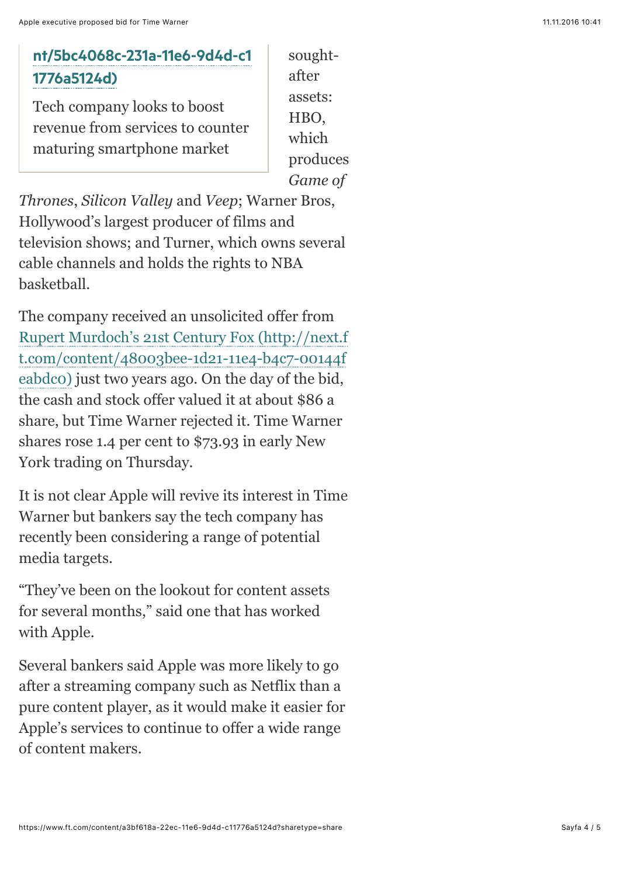## [nt/5bc4068c-231a-11e6-9d4d-c1](https://www.ft.com/content/5bc4068c-231a-11e6-9d4d-c11776a5124d) 1776a5124d)

Tech company looks to boost revenue from services to counter maturing smartphone market

soughtafter assets: HBO, which produces *Game of*

*Thrones*, *Silicon Valley* and *Veep*; Warner Bros, Hollywood's largest producer of films and television shows; and Turner, which owns several cable channels and holds the rights to NBA basketball.

The company received an unsolicited offer from [Rupert Murdoch's 21st Century Fox \(http://next.f](https://www.ft.com/content/48003bee-1d21-11e4-b4c7-00144feabdc0) t.com/content/48003bee-1d21-11e4-b4c7-00144f eabdc0) just two years ago. On the day of the bid, the cash and stock offer valued it at about \$86 a share, but Time Warner rejected it. Time Warner shares rose 1.4 per cent to \$73.93 in early New York trading on Thursday.

It is not clear Apple will revive its interest in Time Warner but bankers say the tech company has recently been considering a range of potential media targets.

"They've been on the lookout for content assets for several months," said one that has worked with Apple.

Several bankers said Apple was more likely to go after a streaming company such as Netflix than a pure content player, as it would make it easier for Apple's services to continue to offer a wide range of content makers.